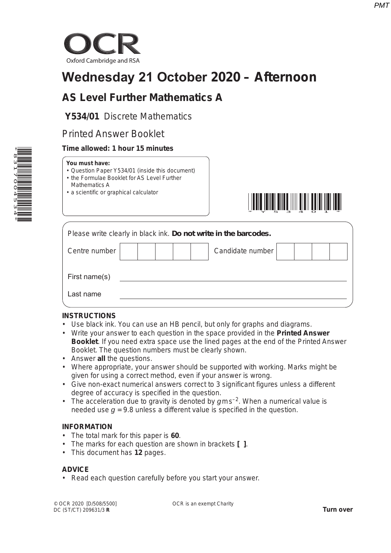

# **Wednesday 21 October 2020 – Afternoon**

# **AS Level Further Mathematics A**

**Y534/01** Discrete Mathematics

# Printed Answer Booklet

# **Time allowed: 1 hour 15 minutes**

#### **You must have:**

- Question Paper Y534/01 (inside this document)
- the Formulae Booklet for AS Level Further
- Mathematics A
- a scientific or graphical calculator



| Please write clearly in black ink. Do not write in the barcodes. |  |  |  |  |  |                  |  |  |
|------------------------------------------------------------------|--|--|--|--|--|------------------|--|--|
| Centre number                                                    |  |  |  |  |  | Candidate number |  |  |
| First name(s)                                                    |  |  |  |  |  |                  |  |  |
| Last name                                                        |  |  |  |  |  |                  |  |  |

# **INSTRUCTIONS**

- Use black ink. You can use an HB pencil, but only for graphs and diagrams.
- Write your answer to each question in the space provided in the **Printed Answer Booklet**. If you need extra space use the lined pages at the end of the Printed Answer Booklet. The question numbers must be clearly shown.
- Answer **all** the questions.
- Where appropriate, your answer should be supported with working. Marks might be given for using a correct method, even if your answer is wrong.
- Give non-exact numerical answers correct to 3 significant figures unless a different degree of accuracy is specified in the question.
- The acceleration due to gravity is denoted by  $qms^{-2}$ . When a numerical value is needed use  $q = 9.8$  unless a different value is specified in the question.

# **INFORMATION**

- The total mark for this paper is **60**.
- The marks for each question are shown in brackets **[ ]**.
- This document has **12** pages.

# **ADVICE**

• Read each question carefully before you start your answer.

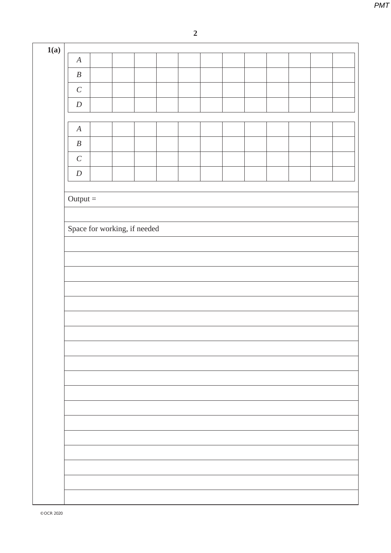| $\boldsymbol{A}$             |  |  |  |  |  |
|------------------------------|--|--|--|--|--|
| $\boldsymbol{B}$             |  |  |  |  |  |
| $\cal C$                     |  |  |  |  |  |
| $\boldsymbol{D}$             |  |  |  |  |  |
|                              |  |  |  |  |  |
| $\boldsymbol{A}$             |  |  |  |  |  |
| $\boldsymbol{B}$             |  |  |  |  |  |
| $\cal C$                     |  |  |  |  |  |
| $\boldsymbol{D}$             |  |  |  |  |  |
|                              |  |  |  |  |  |
| $Output =$                   |  |  |  |  |  |
|                              |  |  |  |  |  |
|                              |  |  |  |  |  |
| Space for working, if needed |  |  |  |  |  |
|                              |  |  |  |  |  |
|                              |  |  |  |  |  |
|                              |  |  |  |  |  |
|                              |  |  |  |  |  |
|                              |  |  |  |  |  |
|                              |  |  |  |  |  |
|                              |  |  |  |  |  |
|                              |  |  |  |  |  |
|                              |  |  |  |  |  |
|                              |  |  |  |  |  |
|                              |  |  |  |  |  |
|                              |  |  |  |  |  |
|                              |  |  |  |  |  |
|                              |  |  |  |  |  |
|                              |  |  |  |  |  |
|                              |  |  |  |  |  |
|                              |  |  |  |  |  |
|                              |  |  |  |  |  |
|                              |  |  |  |  |  |
|                              |  |  |  |  |  |
|                              |  |  |  |  |  |
|                              |  |  |  |  |  |
|                              |  |  |  |  |  |
|                              |  |  |  |  |  |
|                              |  |  |  |  |  |
|                              |  |  |  |  |  |
|                              |  |  |  |  |  |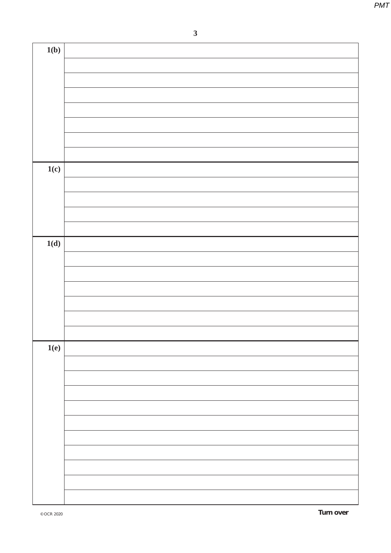**3**

| 1(b) |  |
|------|--|
|      |  |
|      |  |
|      |  |
|      |  |
|      |  |
|      |  |
|      |  |
|      |  |
| 1(c) |  |
|      |  |
|      |  |
|      |  |
|      |  |
|      |  |
| 1(d) |  |
|      |  |
|      |  |
|      |  |
|      |  |
|      |  |
|      |  |
|      |  |
| 1(e) |  |
|      |  |
|      |  |
|      |  |
|      |  |
|      |  |
|      |  |
|      |  |
|      |  |
|      |  |
|      |  |
|      |  |
|      |  |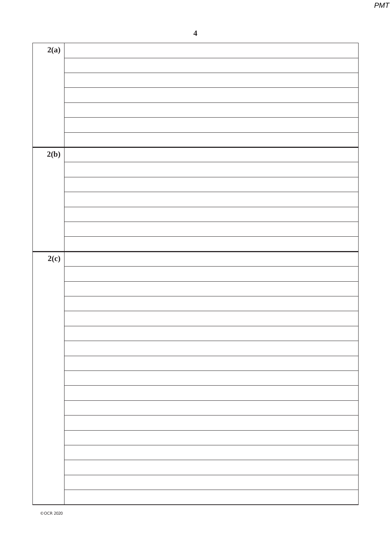**4**

| 2(a) |  |
|------|--|
|      |  |
|      |  |
|      |  |
|      |  |
|      |  |
|      |  |
|      |  |
|      |  |
| 2(b) |  |
|      |  |
|      |  |
|      |  |
|      |  |
|      |  |
|      |  |
|      |  |
| 2(c) |  |
|      |  |
|      |  |
|      |  |
|      |  |
|      |  |
|      |  |
|      |  |
|      |  |
|      |  |
|      |  |
|      |  |
|      |  |
|      |  |
|      |  |
|      |  |
|      |  |
|      |  |
|      |  |
|      |  |
|      |  |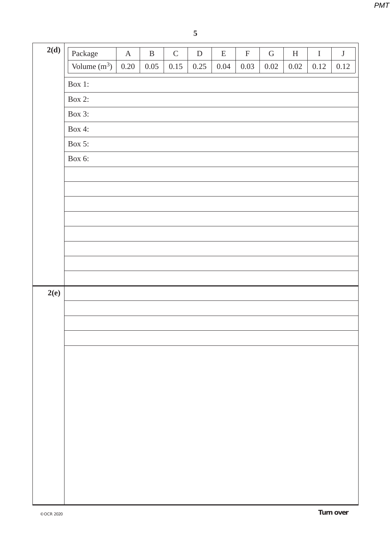| 2(d) | Package        | $\mathbf A$ | $\, {\bf B}$ | $\mathsf C$ | ${\bf D}$ | ${\bf E}$ | $\mathbf F$ | ${\bf G}$ | $\boldsymbol{\mathrm{H}}$ | $\bf I$  | $\bf J$  |
|------|----------------|-------------|--------------|-------------|-----------|-----------|-------------|-----------|---------------------------|----------|----------|
|      | Volume $(m^3)$ | $0.20\,$    | 0.05         | 0.15        | 0.25      | 0.04      | 0.03        | $0.02\,$  | $0.02\,$                  | $0.12\,$ | $0.12\,$ |
|      | Box 1:         |             |              |             |           |           |             |           |                           |          |          |
|      | <b>Box 2:</b>  |             |              |             |           |           |             |           |                           |          |          |
|      | Box 3:         |             |              |             |           |           |             |           |                           |          |          |
|      | Box 4:         |             |              |             |           |           |             |           |                           |          |          |
|      | Box 5:         |             |              |             |           |           |             |           |                           |          |          |
|      | Box 6:         |             |              |             |           |           |             |           |                           |          |          |
|      |                |             |              |             |           |           |             |           |                           |          |          |
|      |                |             |              |             |           |           |             |           |                           |          |          |
|      |                |             |              |             |           |           |             |           |                           |          |          |
|      |                |             |              |             |           |           |             |           |                           |          |          |
|      |                |             |              |             |           |           |             |           |                           |          |          |
|      |                |             |              |             |           |           |             |           |                           |          |          |
|      |                |             |              |             |           |           |             |           |                           |          |          |
| 2(e) |                |             |              |             |           |           |             |           |                           |          |          |
|      |                |             |              |             |           |           |             |           |                           |          |          |
|      |                |             |              |             |           |           |             |           |                           |          |          |
|      |                |             |              |             |           |           |             |           |                           |          |          |
|      |                |             |              |             |           |           |             |           |                           |          |          |
|      |                |             |              |             |           |           |             |           |                           |          |          |
|      |                |             |              |             |           |           |             |           |                           |          |          |
|      |                |             |              |             |           |           |             |           |                           |          |          |
|      |                |             |              |             |           |           |             |           |                           |          |          |
|      |                |             |              |             |           |           |             |           |                           |          |          |
|      |                |             |              |             |           |           |             |           |                           |          |          |
|      |                |             |              |             |           |           |             |           |                           |          |          |
|      |                |             |              |             |           |           |             |           |                           |          |          |
|      |                |             |              |             |           |           |             |           |                           |          |          |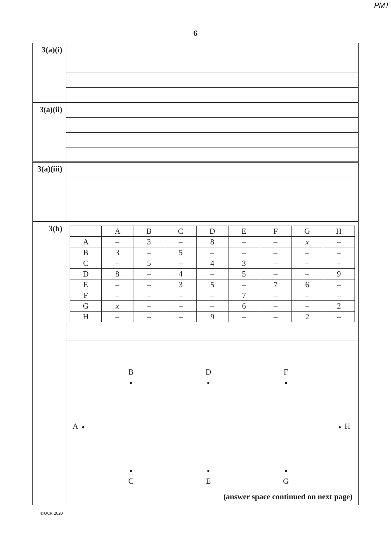| 3(a)(i)   |                                        |                                                        |                          |                                                      |                                            |                                        |                               |                                 |                                        |
|-----------|----------------------------------------|--------------------------------------------------------|--------------------------|------------------------------------------------------|--------------------------------------------|----------------------------------------|-------------------------------|---------------------------------|----------------------------------------|
|           |                                        |                                                        |                          |                                                      |                                            |                                        |                               |                                 |                                        |
|           |                                        |                                                        |                          |                                                      |                                            |                                        |                               |                                 |                                        |
| 3(a)(ii)  |                                        |                                                        |                          |                                                      |                                            |                                        |                               |                                 |                                        |
|           |                                        |                                                        |                          |                                                      |                                            |                                        |                               |                                 |                                        |
|           |                                        |                                                        |                          |                                                      |                                            |                                        |                               |                                 |                                        |
|           |                                        |                                                        |                          |                                                      |                                            |                                        |                               |                                 |                                        |
| 3(a)(iii) |                                        |                                                        |                          |                                                      |                                            |                                        |                               |                                 |                                        |
|           |                                        |                                                        |                          |                                                      |                                            |                                        |                               |                                 |                                        |
|           |                                        |                                                        |                          |                                                      |                                            |                                        |                               |                                 |                                        |
| 3(b)      |                                        | $\boldsymbol{\mathsf{A}}$                              | $\, {\bf B}$             | $\mathsf C$                                          | ${\rm D}$                                  | E                                      | $\boldsymbol{\mathrm{F}}$     | ${\bf G}$                       | $\boldsymbol{\mathrm{H}}$              |
|           | $\mathbf{A}$                           | $\overline{\phantom{0}}$                               | $\mathfrak 3$            | $\overline{\phantom{0}}$                             | $\,8\,$                                    | $\overline{\phantom{0}}$               | $\overline{\phantom{0}}$      | $\boldsymbol{\mathcal{X}}$      | $\qquad \qquad -$                      |
|           | $\, {\bf B}$                           | $\mathfrak{Z}$                                         | $\overline{\phantom{0}}$ | $\sqrt{5}$                                           | $\overline{\phantom{0}}$                   | $\overline{\phantom{0}}$               | $\qquad \qquad -$             |                                 | $\qquad \qquad -$                      |
|           | $\mathsf C$                            | $\overline{\phantom{0}}$                               | $\sqrt{5}$               | $\overline{\phantom{0}}$                             | $\overline{4}$                             | $\mathfrak 3$                          | $\overline{\phantom{0}}$      |                                 | $\overline{\phantom{0}}$               |
|           | ${\bf D}$                              | $8\,$                                                  | $\overline{\phantom{m}}$ | $\overline{4}$                                       | $\qquad \qquad -$                          | $\sqrt{5}$                             | $\qquad \qquad -$             | $\overline{\phantom{m}}$        | $\mathbf{9}$                           |
|           | ${\bf E}$                              | $\qquad \qquad -$                                      |                          | $\mathfrak{Z}$                                       | $\sqrt{5}$                                 | $\overline{\phantom{0}}$               | $\boldsymbol{7}$              | $\sqrt{6}$                      | $\overline{\phantom{0}}$               |
|           | $\mathbf F$                            | $\qquad \qquad -$                                      | $\qquad \qquad -$        | $\overline{\phantom{m}}$                             | $\qquad \qquad -$                          | $\boldsymbol{7}$                       | $\qquad \qquad -$             | $\qquad \qquad -$               | $\overline{\phantom{0}}$               |
|           | ${\bf G}$<br>$\boldsymbol{\mathrm{H}}$ | $\boldsymbol{\mathcal{X}}$<br>$\overline{\phantom{0}}$ | —<br>$\qquad \qquad -$   | $\overline{\phantom{m}}$<br>$\overline{\phantom{m}}$ | $\overline{\phantom{0}}$<br>$\overline{9}$ | $\sqrt{6}$<br>$\overline{\phantom{0}}$ | —<br>$\overline{\phantom{m}}$ | $\qquad \qquad -$<br>$\sqrt{2}$ | $\sqrt{2}$<br>$\overline{\phantom{0}}$ |
|           |                                        |                                                        |                          |                                                      |                                            |                                        |                               |                                 |                                        |
|           |                                        |                                                        |                          |                                                      |                                            |                                        |                               |                                 |                                        |
|           |                                        | $\, {\bf B}$                                           |                          |                                                      | $\mathbf D$                                |                                        | $\boldsymbol{\mathrm{F}}$     |                                 |                                        |
|           |                                        | $\bullet$                                              |                          |                                                      |                                            |                                        |                               |                                 |                                        |
|           |                                        |                                                        |                          |                                                      |                                            |                                        |                               |                                 |                                        |
|           |                                        |                                                        |                          |                                                      |                                            |                                        |                               |                                 |                                        |
|           | $A \bullet$                            |                                                        |                          |                                                      |                                            |                                        |                               |                                 | $\bullet$ H                            |
|           |                                        |                                                        |                          |                                                      |                                            |                                        |                               |                                 |                                        |
|           |                                        |                                                        |                          |                                                      |                                            |                                        |                               |                                 |                                        |
|           |                                        | $\mathsf C$                                            |                          |                                                      | ${\bf E}$                                  |                                        | ${\bf G}$                     |                                 |                                        |
|           |                                        |                                                        |                          |                                                      |                                            | (answer space continued on next page)  |                               |                                 |                                        |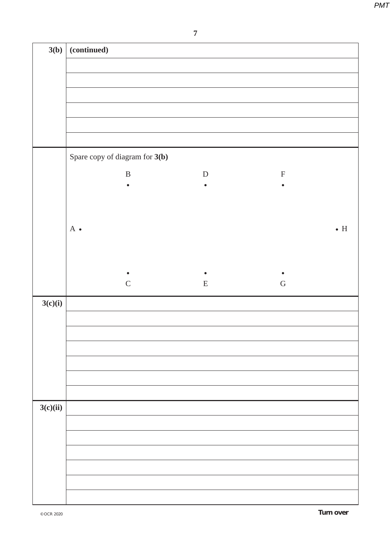| 3(b)     | (continued)                    |           |             |             |
|----------|--------------------------------|-----------|-------------|-------------|
|          |                                |           |             |             |
|          |                                |           |             |             |
|          |                                |           |             |             |
|          |                                |           |             |             |
|          |                                |           |             |             |
|          |                                |           |             |             |
|          | Spare copy of diagram for 3(b) |           |             |             |
|          | $\, {\bf B}$                   | ${\bf D}$ | $\mathbf F$ |             |
|          | $\bullet$                      | $\bullet$ | $\bullet$   |             |
|          |                                |           |             |             |
|          |                                |           |             |             |
|          | $A \bullet$                    |           |             | $\bullet$ H |
|          |                                |           |             |             |
|          |                                |           |             |             |
|          | $\mathbf C$                    | ${\bf E}$ | ${\bf G}$   |             |
| 3(c)(i)  |                                |           |             |             |
|          |                                |           |             |             |
|          |                                |           |             |             |
|          |                                |           |             |             |
|          |                                |           |             |             |
|          |                                |           |             |             |
|          |                                |           |             |             |
| 3(c)(ii) |                                |           |             |             |
|          |                                |           |             |             |
|          |                                |           |             |             |
|          |                                |           |             |             |
|          |                                |           |             |             |
|          |                                |           |             |             |
|          |                                |           |             |             |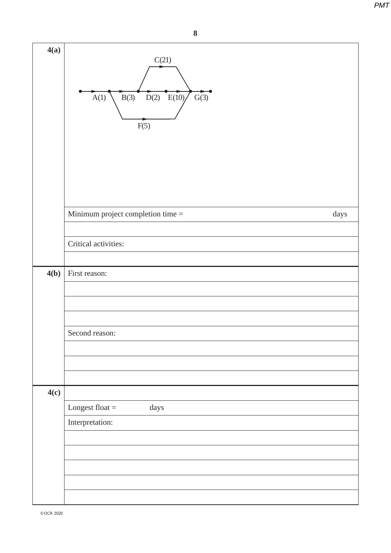| 4(a) | C(21)<br>$D(2)$ $E(10)$<br>B(3)<br>G(3)<br>A(1)<br>F(5) |  |
|------|---------------------------------------------------------|--|
|      | Minimum project completion time =<br>days               |  |
|      |                                                         |  |
|      | Critical activities:                                    |  |
| 4(b) | First reason:                                           |  |
|      |                                                         |  |
|      |                                                         |  |
|      |                                                         |  |
|      | Second reason:                                          |  |
|      |                                                         |  |
|      |                                                         |  |
| 4(c) |                                                         |  |
|      | Longest float $=$<br>days                               |  |
|      | Interpretation:                                         |  |
|      |                                                         |  |
|      |                                                         |  |
|      |                                                         |  |
|      |                                                         |  |
|      |                                                         |  |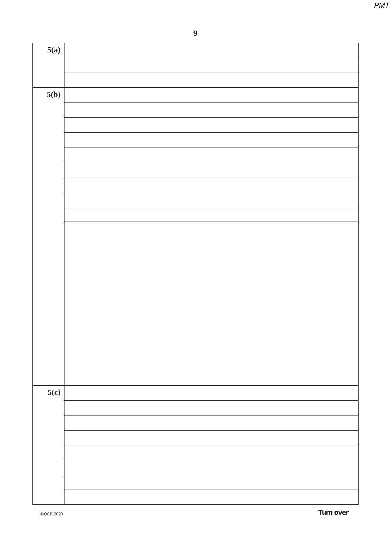**9**

| 5(a) |  |
|------|--|
|      |  |
|      |  |
| 5(b) |  |
|      |  |
|      |  |
|      |  |
|      |  |
|      |  |
|      |  |
|      |  |
|      |  |
|      |  |
|      |  |
|      |  |
|      |  |
|      |  |
|      |  |
|      |  |
|      |  |
|      |  |
|      |  |
|      |  |
| 5(c) |  |
|      |  |
|      |  |
|      |  |
|      |  |
|      |  |
|      |  |
|      |  |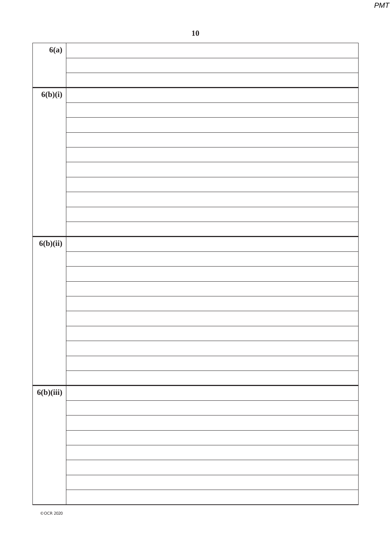| 6(a)      |  |
|-----------|--|
|           |  |
|           |  |
| 6(b)(i)   |  |
|           |  |
|           |  |
|           |  |
|           |  |
|           |  |
|           |  |
|           |  |
|           |  |
| 6(b)(ii)  |  |
|           |  |
|           |  |
|           |  |
|           |  |
|           |  |
|           |  |
|           |  |
|           |  |
|           |  |
| 6(b)(iii) |  |
|           |  |
|           |  |
|           |  |
|           |  |
|           |  |
|           |  |
|           |  |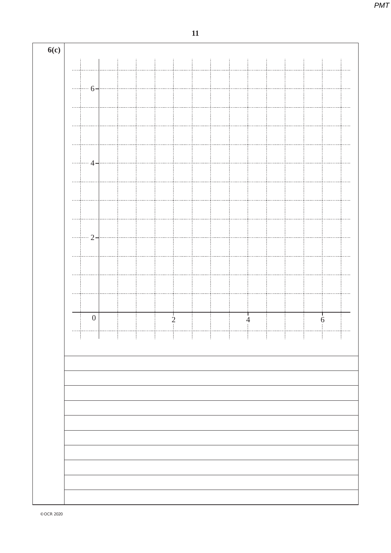**6(c)**  $\sim$ 6 ....... . . . . . . . . . . . . . . . . . . . . . . . . . . . . . . . . . . . . . . . . . . . . . . . . . . . . . . . . . . . . . . . . . . . . . . . . . . . . . . . . . . . . . . . . . . . . . . . . . . . . .  $\cdots$ 4  $\cdots$ . . . . . . . . . . . . . . . . . . . . . . . . . . . . . . . . . . . . . . . . . . . . . . . . . . . . . . . . . . . . . . . . . . . . . . . . . . . . . . .  $\cdots$ .................... <u>2</u>  $\cdots$ . . . . . . . .  $\ldots$ . . . . . . Ť Ť 0 2 4 6  $\cdots$ ļ

© OCR 2020